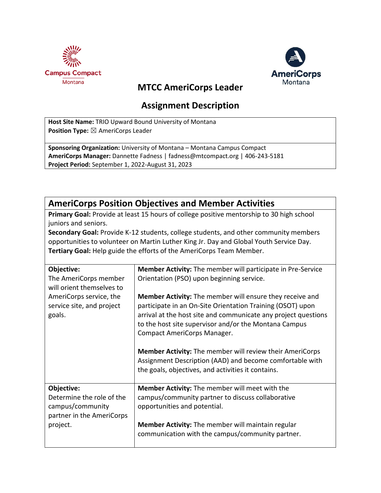



# **MTCC AmeriCorps Leader**

## **Assignment Description**

**Host Site Name:** TRIO Upward Bound University of Montana **Position Type:** ⊠ AmeriCorps Leader

**Sponsoring Organization:** University of Montana – Montana Campus Compact **AmeriCorps Manager:** Dannette Fadness | fadness@mtcompact.org | 406-243-5181 **Project Period:** September 1, 2022-August 31, 2023

### **AmeriCorps Position Objectives and Member Activities**

**Primary Goal:** Provide at least 15 hours of college positive mentorship to 30 high school juniors and seniors.

**Secondary Goal:** Provide K-12 students, college students, and other community members opportunities to volunteer on Martin Luther King Jr. Day and Global Youth Service Day. **Tertiary Goal:** Help guide the efforts of the AmeriCorps Team Member.

| Objective:                | Member Activity: The member will participate in Pre-Service     |
|---------------------------|-----------------------------------------------------------------|
| The AmeriCorps member     | Orientation (PSO) upon beginning service.                       |
| will orient themselves to |                                                                 |
| AmeriCorps service, the   | <b>Member Activity:</b> The member will ensure they receive and |
| service site, and project | participate in an On-Site Orientation Training (OSOT) upon      |
| goals.                    | arrival at the host site and communicate any project questions  |
|                           | to the host site supervisor and/or the Montana Campus           |
|                           | Compact AmeriCorps Manager.                                     |
|                           |                                                                 |
|                           | <b>Member Activity:</b> The member will review their AmeriCorps |
|                           | Assignment Description (AAD) and become comfortable with        |
|                           | the goals, objectives, and activities it contains.              |
|                           |                                                                 |
| Objective:                | <b>Member Activity:</b> The member will meet with the           |
| Determine the role of the | campus/community partner to discuss collaborative               |
| campus/community          | opportunities and potential.                                    |
| partner in the AmeriCorps |                                                                 |
| project.                  | <b>Member Activity:</b> The member will maintain regular        |
|                           | communication with the campus/community partner.                |
|                           |                                                                 |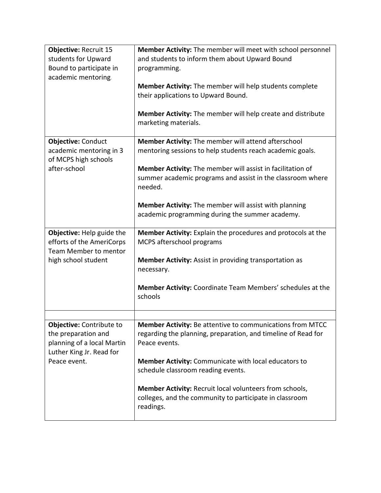| Objective: Recruit 15<br>students for Upward<br>Bound to participate in<br>academic mentoring.                            | Member Activity: The member will meet with school personnel<br>and students to inform them about Upward Bound<br>programming.<br>Member Activity: The member will help students complete<br>their applications to Upward Bound.<br>Member Activity: The member will help create and distribute<br>marketing materials.                                                              |
|---------------------------------------------------------------------------------------------------------------------------|-------------------------------------------------------------------------------------------------------------------------------------------------------------------------------------------------------------------------------------------------------------------------------------------------------------------------------------------------------------------------------------|
| <b>Objective: Conduct</b><br>academic mentoring in 3<br>of MCPS high schools<br>after-school                              | Member Activity: The member will attend afterschool<br>mentoring sessions to help students reach academic goals.<br>Member Activity: The member will assist in facilitation of<br>summer academic programs and assist in the classroom where<br>needed.<br>Member Activity: The member will assist with planning<br>academic programming during the summer academy.                 |
| Objective: Help guide the<br>efforts of the AmeriCorps<br>Team Member to mentor<br>high school student                    | Member Activity: Explain the procedures and protocols at the<br>MCPS afterschool programs<br><b>Member Activity: Assist in providing transportation as</b><br>necessary.<br>Member Activity: Coordinate Team Members' schedules at the<br>schools                                                                                                                                   |
|                                                                                                                           |                                                                                                                                                                                                                                                                                                                                                                                     |
| Objective: Contribute to<br>the preparation and<br>planning of a local Martin<br>Luther King Jr. Read for<br>Peace event. | Member Activity: Be attentive to communications from MTCC<br>regarding the planning, preparation, and timeline of Read for<br>Peace events.<br><b>Member Activity:</b> Communicate with local educators to<br>schedule classroom reading events.<br>Member Activity: Recruit local volunteers from schools,<br>colleges, and the community to participate in classroom<br>readings. |